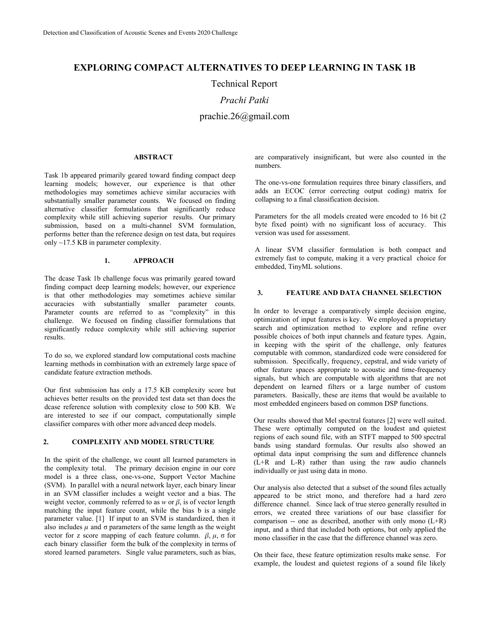# **EXPLORING COMPACT ALTERNATIVES TO DEEP LEARNING IN TASK 1B**

Technical Report

# *Prachi Patki*

prachie.26@gmail.com

### **ABSTRACT**

Task 1b appeared primarily geared toward finding compact deep learning models; however, our experience is that other methodologies may sometimes achieve similar accuracies with substantially smaller parameter counts. We focused on finding alternative classifier formulations that significantly reduce complexity while still achieving superior results. Our primary submission, based on a multi-channel SVM formulation, performs better than the reference design on test data, but requires only ~17.5 KB in parameter complexity.

### **1. APPROACH**

The dcase Task 1b challenge focus was primarily geared toward finding compact deep learning models; however, our experience is that other methodologies may sometimes achieve similar accuracies with substantially smaller parameter counts. Parameter counts are referred to as "complexity" in this challenge. We focused on finding classifier formulations that significantly reduce complexity while still achieving superior results.

To do so, we explored standard low computational costs machine learning methods in combination with an extremely large space of candidate feature extraction methods.

Our first submission has only a 17.5 KB complexity score but achieves better results on the provided test data set than does the dcase reference solution with complexity close to 500 KB. We are interested to see if our compact, computationally simple classifier compares with other more advanced deep models.

# **2. COMPLEXITY AND MODEL STRUCTURE**

In the spirit of the challenge, we count all learned parameters in the complexity total. The primary decision engine in our core model is a three class, one-vs-one, Support Vector Machine (SVM). In parallel with a neural network layer, each binary linear in an SVM classifier includes a weight vector and a bias. The weight vector, commonly referred to as  $w$  or  $\beta$ , is of vector length matching the input feature count, while the bias b is a single parameter value. [1] If input to an SVM is standardized, then it also includes  $\mu$  and  $\sigma$  parameters of the same length as the weight vector for z score mapping of each feature column.  $\beta$ ,  $\mu$ ,  $\sigma$  for each binary classifier form the bulk of the complexity in terms of stored learned parameters. Single value parameters, such as bias, are comparatively insignificant, but were also counted in the numbers.

The one-vs-one formulation requires three binary classifiers, and adds an ECOC (error correcting output coding) matrix for collapsing to a final classification decision.

Parameters for the all models created were encoded to 16 bit (2 byte fixed point) with no significant loss of accuracy. This version was used for assessment.

A linear SVM classifier formulation is both compact and extremely fast to compute, making it a very practical choice for embedded, TinyML solutions.

# **3. FEATURE AND DATA CHANNEL SELECTION**

In order to leverage a comparatively simple decision engine, optimization of input features is key. We employed a proprietary search and optimization method to explore and refine over possible choices of both input channels and feature types. Again, in keeping with the spirit of the challenge, only features computable with common, standardized code were considered for submission. Specifically, frequency, cepstral, and wide variety of other feature spaces appropriate to acoustic and time-frequency signals, but which are computable with algorithms that are not dependent on learned filters or a large number of custom parameters. Basically, these are items that would be available to most embedded engineers based on common DSP functions.

Our results showed that Mel spectral features [2] were well suited. These were optimally computed on the loudest and quietest regions of each sound file, with an STFT mapped to 500 spectral bands using standard formulas. Our results also showed an optimal data input comprising the sum and difference channels  $(L+R)$  and  $L-R$ ) rather than using the raw audio channels individually or just using data in mono.

Our analysis also detected that a subset of the sound files actually appeared to be strict mono, and therefore had a hard zero difference channel. Since lack of true stereo generally resulted in errors, we created three variations of our base classifier for comparison -- one as described, another with only mono (L+R) input, and a third that included both options, but only applied the mono classifier in the case that the difference channel was zero.

On their face, these feature optimization results make sense. For example, the loudest and quietest regions of a sound file likely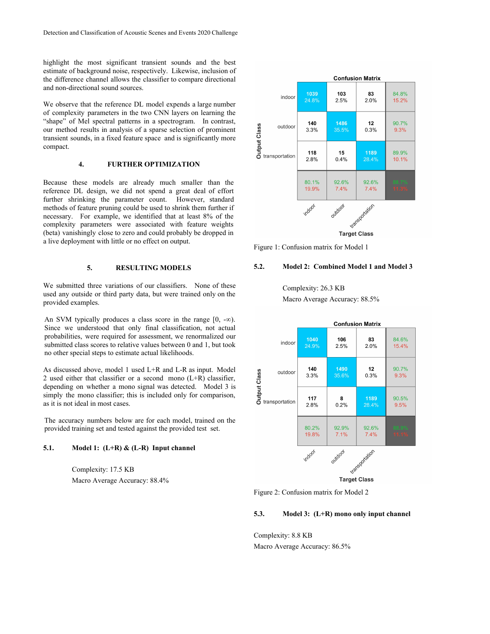highlight the most significant transient sounds and the best estimate of background noise, respectively. Likewise, inclusion of the difference channel allows the classifier to compare directional and non-directional sound sources.

We observe that the reference DL model expends a large number of complexity parameters in the two CNN layers on learning the "shape" of Mel spectral patterns in a spectrogram. In contrast, our method results in analysis of a sparse selection of prominent transient sounds, in a fixed feature space and is significantly more compact.

#### **4. FURTHER OPTIMIZATION**

Because these models are already much smaller than the reference DL design, we did not spend a great deal of effort further shrinking the parameter count. However, standard methods of feature pruning could be used to shrink them further if necessary. For example, we identified that at least 8% of the complexity parameters were associated with feature weights (beta) vanishingly close to zero and could probably be dropped in a live deployment with little or no effect on output.

#### **5. RESULTING MODELS**

We submitted three variations of our classifiers. None of these used any outside or third party data, but were trained only on the provided examples.

An SVM typically produces a class score in the range  $[0, -\infty)$ . Since we understood that only final classification, not actual probabilities, were required for assessment, we renormalized our submitted class scores to relative values between 0 and 1, but took no other special steps to estimate actual likelihoods.

As discussed above, model 1 used L+R and L-R as input. Model 2 used either that classifier or a second mono  $(L+R)$  classifier, depending on whether a mono signal was detected. Model 3 is simply the mono classifier; this is included only for comparison, as it is not ideal in most cases.

The accuracy numbers below are for each model, trained on the provided training set and tested against the provided test set.

# **5.1. Model 1: (L+R) & (L-R) Input channel**

Complexity: 17.5 KB Macro Average Accuracy: 88.4%



Figure 1: Confusion matrix for Model 1

#### **5.2. Model 2: Combined Model 1 and Model 3**

Complexity: 26.3 KB Macro Average Accuracy: 88.5%



Figure 2: Confusion matrix for Model 2

### **5.3. Model 3: (L+R) mono only input channel**

Complexity: 8.8 KB Macro Average Accuracy: 86.5%